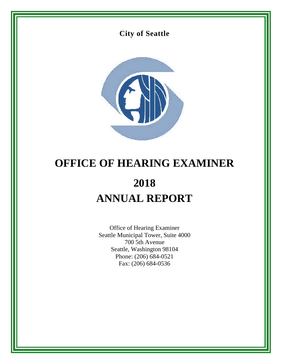



# **OFFICE OF HEARING EXAMINER 2018 ANNUAL REPORT**

Office of Hearing Examiner Seattle Municipal Tower, Suite 4000 700 5th Avenue Seattle, Washington 98104 Phone: (206) 684-0521 Fax: (206) 684-0536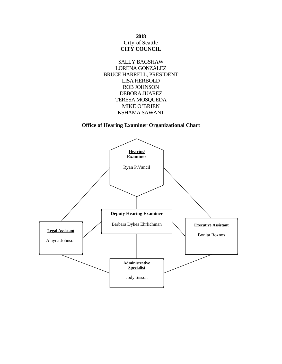**2018**  City of Seattle **CITY COUNCIL** 



## **Office of Hearing Examiner Organizational Chart**

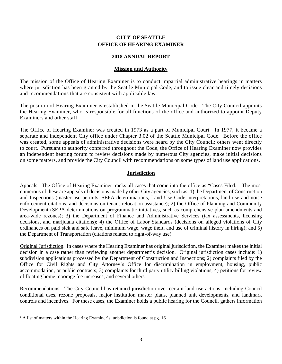## **CITY OF SEATTLE OFFICE OF HEARING EXAMINER**

## **2018 ANNUAL REPORT**

#### **Mission and Authority**

The mission of the Office of Hearing Examiner is to conduct impartial administrative hearings in matters where jurisdiction has been granted by the Seattle Municipal Code, and to issue clear and timely decisions and recommendations that are consistent with applicable law.

The position of Hearing Examiner is established in the Seattle Municipal Code. The City Council appoints the Hearing Examiner, who is responsible for all functions of the office and authorized to appoint Deputy Examiners and other staff.

The Office of Hearing Examiner was created in 1973 as a part of Municipal Court. In 1977, it became a separate and independent City office under Chapter 3.02 of the Seattle Municipal Code. Before the office was created, some appeals of administrative decisions were heard by the City Council; others went directly to court. Pursuant to authority conferred throughout the Code, the Office of Hearing Examiner now provides an independent hearing forum to review decisions made by numerous City agencies, make initial decisions on some matters, and provide the City Council with recommendations on some types of land use applications.<sup>1</sup>

## **Jurisdiction**

Appeals. The Office of Hearing Examiner tracks all cases that come into the office as "Cases Filed." The most numerous of these are appeals of decisions made by other City agencies, such as: 1) the Department of Construction and Inspections (master use permits, SEPA determinations, Land Use Code interpretations, land use and noise enforcement citations, and decisions on tenant relocation assistance); 2) the Office of Planning and Community Development (SEPA determinations on programmatic initiatives, such as comprehensive plan amendments and area-wide rezones); 3) the Department of Finance and Administrative Services (tax assessments, licensing decisions, and marijuana citations); 4) the Office of Labor Standards (decisions on alleged violations of City ordinances on paid sick and safe leave, minimum wage, wage theft, and use of criminal history in hiring); and 5) the Department of Transportation (citations related to right-of-way use).

Original Jurisdiction. In cases where the Hearing Examiner has original jurisdiction, the Examiner makes the initial decision in a case rather than reviewing another department's decision. Original jurisdiction cases include: 1) subdivision applications processed by the Department of Construction and Inspections; 2) complaints filed by the Office for Civil Rights and City Attorney's Office for discrimination in employment, housing, public accommodation, or public contracts; 3) complaints for third party utility billing violations; 4) petitions for review of floating home moorage fee increases; and several others.

Recommendations. The City Council has retained jurisdiction over certain land use actions, including Council conditional uses, rezone proposals, major institution master plans, planned unit developments, and landmark controls and incentives. For these cases, the Examiner holds a public hearing for the Council, gathers information

 $\overline{a}$ <sup>1</sup> A list of matters within the Hearing Examiner's jurisdiction is found at pg. 16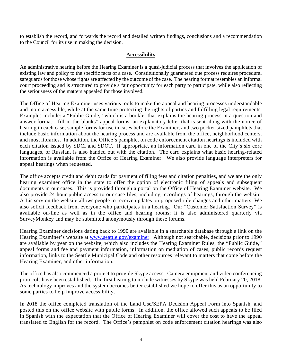to establish the record, and forwards the record and detailed written findings, conclusions and a recommendation to the Council for its use in making the decision.

## **Accessibility**

An administrative hearing before the Hearing Examiner is a quasi-judicial process that involves the application of existing law and policy to the specific facts of a case. Constitutionally guaranteed due process requires procedural safeguards for those whose rights are affected by the outcome of the case. The hearing format resembles an informal court proceeding and is structured to provide a fair opportunity for each party to participate, while also reflecting the seriousness of the matters appealed for those involved.

The Office of Hearing Examiner uses various tools to make the appeal and hearing processes understandable and more accessible, while at the same time protecting the rights of parties and fulfilling legal requirements. Examples include: a "Public Guide," which is a booklet that explains the hearing process in a question and answer format; "fill-in-the-blanks" appeal forms; an explanatory letter that is sent along with the notice of hearing in each case; sample forms for use in cases before the Examiner, and two pocket-sized pamphlets that include basic information about the hearing process and are available from the office, neighborhood centers, and most libraries. In addition, the Office's pamphlet on code enforcement citation hearings is included with each citation issued by SDCI and SDOT. If appropriate, an information card in one of the City's six core languages, or Russian, is also handed out with the citation. The card explains what basic hearing-related information is available from the Office of Hearing Examiner. We also provide language interpreters for appeal hearings when requested.

The office accepts credit and debit cards for payment of filing fees and citation penalties, and we are the only hearing examiner office in the state to offer the option of electronic filing of appeals and subsequent documents in our cases. This is provided through a portal on the Office of Hearing Examiner website. We also provide 24-hour public access to our case files, including recordings of hearings, through the website. A Listserv on the website allows people to receive updates on proposed rule changes and other matters. We also solicit feedback from everyone who participates in a hearing. Our "Customer Satisfaction Survey" is available on-line as well as in the office and hearing rooms; it is also administered quarterly via SurveyMonkey and may be submitted anonymously through these forums.

Hearing Examiner decisions dating back to 1990 are available in a searchable database through a link on the Hearing Examiner's website at www.seattle.gov/examiner. Although not searchable, decisions prior to 1990 are available by year on the website, which also includes the Hearing Examiner Rules, the "Public Guide," appeal forms and fee and payment information, information on mediation of cases, public records request information, links to the Seattle Municipal Code and other resources relevant to matters that come before the Hearing Examiner, and other information.

The office has also commenced a project to provide Skype access. Camera equipment and video conferencing protocols have been established. The first hearing to include witnesses by Skype was held February 20, 2018. As technology improves and the system becomes better established we hope to offer this as an opportunity to some parties to help improve accessibility.

In 2018 the office completed translation of the Land Use/SEPA Decision Appeal Form into Spanish, and posted this on the office website with public forms. In addition, the office allowed such appeals to be filed in Spanish with the expectation that the Office of Hearing Examiner will cover the cost to have the appeal translated to English for the record. The Office's pamphlet on code enforcement citation hearings was also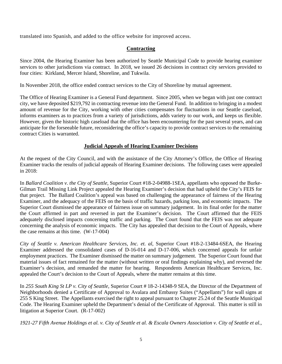translated into Spanish, and added to the office website for improved access.

# **Contracting**

Since 2004, the Hearing Examiner has been authorized by Seattle Municipal Code to provide hearing examiner services to other jurisdictions via contract. In 2018, we issued 26 decisions in contract city services provided to four cities: Kirkland, Mercer Island, Shoreline, and Tukwila.

In November 2018, the office ended contract services to the City of Shoreline by mutual agreement.

The Office of Hearing Examiner is a General Fund department. Since 2005, when we began with just one contract city, we have deposited \$219,792 in contracting revenue into the General Fund. In addition to bringing in a modest amount of revenue for the City, working with other cities compensates for fluctuations in our Seattle caseload, informs examiners as to practices from a variety of jurisdictions, adds variety to our work, and keeps us flexible. However, given the historic high caseload that the office has been encountering for the past several years, and can anticipate for the forseeable future, reconsidering the office's capacity to provide contract services to the remaining contract Cities is warranted.

# **Judicial Appeals of Hearing Examiner Decisions**

At the request of the City Council, and with the assistance of the City Attorney's Office, the Office of Hearing Examiner tracks the results of judicial appeals of Hearing Examiner decisions. The following cases were appealed in 2018:

In *Ballard Coalition v. the City of Seattle*, Superior Court #18-2-04988-1SEA, appellants who opposed the Burke-Gilman Trail Missing Link Project appealed the Hearing Examiner's decision that had upheld the City's FEIS for that project. The Ballard Coalition's appeal was based on challenging the appearance of fairness of the Hearing Examiner, and the adequacy of the FEIS on the basis of traffic hazards, parking loss, and economic impacts. The Superior Court dismissed the appearance of fairness issue on summary judgement. In its final order for the matter the Court affirmed in part and reversed in part the Examiner's decision. The Court affirmed that the FEIS adequately disclosed impacts concerning traffic and parking. The Court found that the FEIS was not adequate concerning the analysis of economic impacts. The City has appealed that decision to the Court of Appeals, where the case remains at this time. (W-17-004)

*City of Seattle v. American Healthcare Services, Inc. et. al*, Superior Court #18-2-13484-6SEA, the Hearing Examiner addressed the consolidated cases of D-16-014 and D-17-006, which concerned appeals for unfair employment practices. The Examiner dismissed the matter on summary judgement. The Superior Court found that material issues of fact remained for the matter (without written or oral findings explaining why), and reversed the Examiner's decision, and remanded the matter for hearing. Respondents American Healthcare Services, Inc. appealed the Court's decision to the Court of Appeals, where the matter remains at this time.

In *255 South King St LP v. City of Seattle*, Superior Court # 18-2-14348-9 SEA, the Director of the Department of Neighborhoods denied a Certificate of Approval to Avalara and Embassy Suites ("Appellants") for wall signs at 255 S King Street. The Appellants exercised the right to appeal pursuant to Chapter 25.24 of the Seattle Municipal Code. The Hearing Examiner upheld the Department's denial of the Certificate of Approval. This matter is still in litigation at Superior Court. (R-17-002)

*1921-27 Fifth Avenue Holdings et al. v. City of Seattle et al. & Escala Owners Association v. City of Seattle et al.*,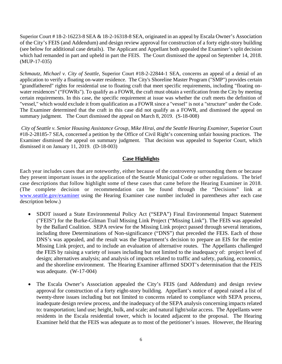Superior Court # 18-2-16223-8 SEA & 18-2-16318-8 SEA, originated in an appeal by Escala Owner's Association of the City's FEIS (and Addendum) and design review approval for construction of a forty eight-story building (see below for additional case details). The Applicant and Appellant both appealed the Examiner's split decision which had remanded in part and upheld in part the FEIS. The Court dismissed the appeal on September 14, 2018. (MUP-17-035)

*Schmautz, Michael v. City of Seattle*, Superior Court #18-2-22844-1 SEA, concerns an appeal of a denial of an application to verify a floating on-water residence. The City's Shoreline Master Program ("SMP") provides certain "grandfathered" rights for residential use to floating craft that meet specific requirements, including "floating onwater residences" ("FOWRs"). To qualify as a FOWR, the craft must obtain a verification from the City by meeting certain requirements. In this case, the specific requirement at issue was whether the craft meets the definition of "vessel," which would exclude it from qualification as a FOWR since a "vessel" is not a "structure" under the Code. The Examiner determined that the craft in this case did not qualify as a FOWR, and dismissed the appeal on summary judgment. The Court dismissed the appeal on March 8, 2019. (S-18-008)

*City of Seattle v. Senior Housing Assistance Group, Mike Hirai, and the Seattle Hearing Examiner,* Superior Court #18-2-28185-7 SEA, concerned a petition by the Office of Civil Right's concerning unfair housing practices. The Examiner dismissed the appeal on summary judgment. That decision was appealed to Superior Court, which dismissed it on January 11, 2019. (D-18-003)

# **Case Highlights**

Each year includes cases that are noteworthy, either because of the controversy surrounding them or because they present important issues in the application of the Seattle Municipal Code or other regulations. The brief case descriptions that follow highlight some of these cases that came before the Hearing Examiner in 2018. (The complete decision or recommendation can be found through the "Decisions" link at www.seattle.gov/examiner using the Hearing Examiner case number included in parentheses after each case description below.)

- SDOT issued a State Environmental Policy Act ("SEPA") Final Environmental Impact Statement ("FEIS") for the Burke-Gilman Trail Missing Link Project ("Missing Link"). The FEIS was appealed by the Ballard Coalition. SEPA review for the Missing Link project passed through several iterations, including three Determinations of Non-significance ("DNS") that preceded the FEIS. Each of those DNS's was appealed, and the result was the Department's decision to prepare an EIS for the entire Missing Link project, and to include an evaluation of alternative routes. The Appellants challenged the FEIS by raising a variety of issues including but not limited to the inadequacy of: project level of design; alternatives analysis; and analysis of impacts related to traffic and safety, parking, economics, and the shoreline environment. The Hearing Examiner affirmed SDOT's determination that the FEIS was adequate. (W-17-004)
- The Escala Owner's Association appealed the City's FEIS (and Addendum) and design review approval for construction of a forty eight-story building. Appellant's notice of appeal raised a list of twenty-three issues including but not limited to concerns related to compliance with SEPA process, inadequate design review process, and the inadequacy of the SEPA analysis concerning impacts related to: transportation; land use; height, bulk, and scale; and natural light/solar access. The Appellants were residents in the Escala residential tower, which is located adjacent to the proposal. The Hearing Examiner held that the FEIS was adequate as to most of the petitioner's issues. However, the Hearing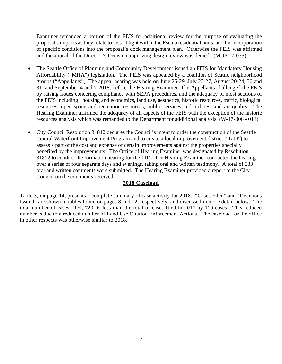Examiner remanded a portion of the FEIS for additional review for the purpose of evaluating the proposal's impacts as they relate to loss of light within the Escala residential units, and for incorporation of specific conditions into the proposal's dock management plan. Otherwise the FEIS was affirmed and the appeal of the Director's Decision approving design review was denied. (MUP 17-035)

- The Seattle Office of Planning and Community Development issued an FEIS for Mandatory Housing Affordability ("MHA") legislation. The FEIS was appealed by a coalition of Seattle neighborhood groups ("Appellants"). The appeal hearing was held on June 25-29, July 23-27, August 20-24, 30 and 31, and September 4 and 7 2018, before the Hearing Examiner. The Appellants challenged the FEIS by raising issues concering compliance with SEPA procedures, and the adequacy of most sections of the FEIS including: housing and economics, land use, aesthetics, historic resources, traffic, biological resources, open space and recreation resources, public services and utilities, and air quality. The Hearing Examiner affirmed the adequacy of all aspects of the FEIS with the exception of the historic resources analysis which was remanded to the Department for additional analysis. (W-17-006 - 014)
- City Council Resolution 31812 declares the Council's intent to order the construction of the Seattle Central Waterfront Improvement Program and to create a local improvement district ("LID") to assess a part of the cost and expense of certain improvements against the properties specially benefited by the improvements. The Office of Hearing Examiner was designated by Resolution 31812 to conduct the formation hearing for the LID. The Hearing Examiner conducted the hearing over a series of four separate days and evenings, taking oral and written testimony. A total of 333 oral and written comments were submitted. The Hearing Examiner provided a report to the City Council on the comments received.

## **2018 Caseload**

Table 3, on page 14, presents a complete summary of case activity for 2018. "Cases Filed" and "Decisions Issued" are shown in tables found on pages 8 and 12, respectively, and discussed in more detail below. The total number of cases filed, 720, is less than the total of cases filed in 2017 by 110 cases. This reduced number is due to a reduced number of Land Use Citation Enforcement Actions. The caseload for the office in other respects was otherwise similar to 2018.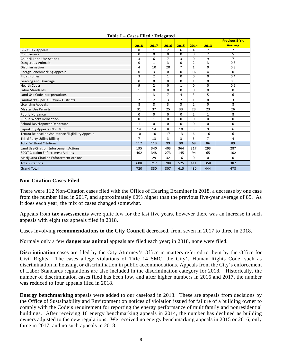|                                                  |                |                |                |                |                |                | <b>Previous 5-Yr.</b> |
|--------------------------------------------------|----------------|----------------|----------------|----------------|----------------|----------------|-----------------------|
|                                                  | 2018           | 2017           | 2016           | 2015           | 2014           | 2013           | <b>Average</b>        |
| B & O Tax Appeals                                | 8              | 1              | $\overline{2}$ | 6              | 4              | $\overline{7}$ | 7                     |
| Civil Service                                    | $\Omega$       | $\Omega$       | $\Omega$       | $\Omega$       | $\Omega$       | $\overline{2}$ | 5                     |
| <b>Council Land Use Actions</b>                  | 3              | 6              | $\overline{7}$ | 3              | $\mathbf 0$    | 9              | $\overline{7}$        |
| Dangerous Animals                                | $\overline{0}$ | $\overline{1}$ | 3              | $\overline{0}$ | $\overline{2}$ | 3              | 0.8                   |
| Discrimination                                   | 4              | 10             | 20             | $\overline{7}$ | 1              | $\mathbf 0$    | 0.8                   |
| <b>Energy Benchmarking Appeals</b>               | $\mathbf 0$    | 3              | 0              | $\mathbf 0$    | 16             | 4              | $\Omega$              |
| <b>Float Homes</b>                               | 3              | $\overline{2}$ | $\mathbf{1}$   | $\Omega$       | $\Omega$       | $\Omega$       | 0.4                   |
| <b>Grading and Drainage</b>                      | 0              | $\mathbf 0$    | $\Omega$       | $\mathbf 0$    | 1              | $\Omega$       | 0.0                   |
| <b>Health Codes</b>                              | 9              | $\overline{2}$ | $\Omega$       | $\mathbf{1}$   | $\mathbf 0$    | $\Omega$       | 0.6                   |
| Labor Standards                                  | $\mathbf{1}$   | $\Omega$       | $\Omega$       | $\mathbf 0$    | $\mathbf 0$    | $\Omega$       | $\Omega$              |
| Land Use Code Interpretations                    | 11             | 3              | $\overline{7}$ | 4              | 3              | 5              | 6                     |
| Landmarks-Special Review Districts               | $\overline{2}$ | $\overline{2}$ | 3              | $\overline{7}$ | $\mathbf{1}$   | $\Omega$       | 3                     |
| Licensing Appeals                                | 8              | 8              | 3              | 3              | $\overline{2}$ | $\Omega$       | 8                     |
| Master Use Permits                               | 31             | 37             | 25             | 33             | 23             | 23             | 26                    |
| Public Nuisance                                  | $\Omega$       | $\Omega$       | $\Omega$       | $\Omega$       | $\overline{2}$ | $\mathbf{1}$   | 8                     |
| Public Works Relocation                          | $\Omega$       | 1              | $\Omega$       | $\Omega$       | $\mathbf 0$    | $\Omega$       | $\Omega$              |
| School Development Departure                     | $\mathbf{1}$   | $\Omega$       | $\Omega$       | $\mathbf 0$    | $\mathbf 0$    | $\Omega$       | 0                     |
| Sepa-Only Appeals (Non Mup)                      | 14             | 14             | 8              | 10             | 3              | 9              | 6                     |
| Tenant Relocation Assistance Eligibility Appeals | 10             | 10             | 17             | 13             | 6              | 16             | 6                     |
| Third Party Utility Billing                      | $\overline{7}$ | 13             | 3              | 3              | 5              | $\overline{7}$ | 4                     |
| <b>Total Without Citations</b>                   | 112            | 113            | 99             | 90             | 69             | 86             | 89                    |
| Land Use Citation Enforcement Actions            | 195            | 340            | 403            | 364            | 317            | 293            | 287                   |
| <b>SDOT Citation Enforcement Actions</b>         | 402            | 348            | 273            | 145            | 94             | 65             | 102                   |
| Marijuana Citation Enforcement Actions           | 11             | 29             | 32             | 16             | $\mathbf 0$    | $\Omega$       | $\Omega$              |
| <b>Total Citations</b>                           | 608            | 717            | 708            | 525            | 411            | 358            | 387                   |
| <b>Grand Total</b>                               | 720            | 830            | 807            | 615            | 480            | 444            | 478                   |

## **Table I – Cases Filed / Delegated**

## **Non-Citation Cases Filed**

There were 112 Non-Citation cases filed with the Office of Hearing Examiner in 2018, a decrease by one case from the number filed in 2017, and approximately 60% higher than the previous five-year average of 85. As it does each year, the mix of cases changed somewhat.

Appeals from **tax assessments** were quite low for the last five years, however there was an increase in such appeals with eight tax appeals filed in 2018.

Cases involving r**ecommendations to the City Council** decreased, from seven in 2017 to three in 2018.

Normaly only a few **dangerous animal** appeals are filed each year; in 2018, none were filed.

**Discrimination** cases are filed by the City Attorney's Office in matters referred to them by the Office for Civil Rights. The cases allege violations of Title 14 SMC, the City's Human Rights Code, such as discrimination in housing, or discrimination in public accommodations. Appeals from the City's enforcement of Labor Standards regulations are also included in the discrimination category for 2018. Historically, the number of discrimination cases filed has been low, and after higher numbers in 2016 and 2017, the number was reduced to four appeals filed in 2018.

**Energy benchmarking** appeals were added to our caseload in 2013. These are appeals from decisions by the Office of Sustainability and Environment on notices of violation issued for failure of a building owner to comply with the Code's requirement for reporting the energy performance of multifamily and nonresidential buildings. After receiving 16 energy benchmarking appeals in 2014, the number has declined as building owners adjusted to the new regulations. We received no energy benchmarking appeals in 2015 or 2016, only three in 2017, and no such appeals in 2018.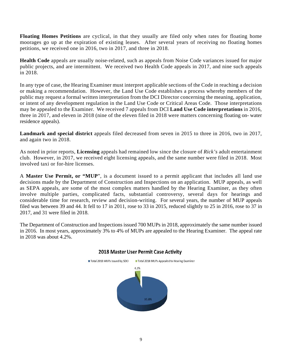**Floating Homes Petitions** are cyclical, in that they usually are filed only when rates for floating home moorages go up at the expiration of existing leases. After several years of receiving no floating homes petitions, we received one in 2016, two in 2017, and three in 2018.

**Health Code** appeals are usually noise-related, such as appeals from Noise Code variances issued for major public projects, and are intermittent. We received two Health Code appeals in 2017, and nine such appeals in 2018.

In any type of case, the Hearing Examiner must interpret applicable sections of the Code in reaching a decision or making a recommendation. However, the Land Use Code establishes a process whereby members of the public may request a formal written interpretation from the DCI Director concerning the meaning, application, or intent of any development regulation in the Land Use Code or Critical Areas Code. Those interpretations may be appealed to the Examiner. We received 7 appeals from DCI **Land Use Code interpretations** in 2016, three in 2017, and eleven in 2018 (nine of the eleven filed in 2018 were matters concerning floating on- water residence appeals).

**Landmark and special district** appeals filed decreased from seven in 2015 to three in 2016, two in 2017, and again two in 2018.

As noted in prior reports, **Licensing** appeals had remained low since the closure of *Rick's* adult entertainment club. However, in 2017, we received eight licensing appeals, and the same number were filed in 2018. Most involved taxi or for-hire licenses.

A **Master Use Permit, or "MUP**", is a document issued to a permit applicant that includes all land use decisions made by the Department of Construction and Inspections on an application. MUP appeals, as well as SEPA appeals, are some of the most complex matters handled by the Hearing Examiner, as they often involve multiple parties, complicated facts, substantial controversy, several days for hearings and considerable time for research, review and decision-writing. For several years, the number of MUP appeals filed was between 39 and 44. It fell to 17 in 2011, rose to 33 in 2015, reduced slightly to 25 in 2016, rose to 37 in 2017, and 31 were filed in 2018.

The Department of Construction and Inspections issued 700 MUPs in 2018, approximately the same number issued in 2016. In most years, approximately 3% to 4% of MUPs are appealed to the Hearing Examiner. The appeal rate in 2018 was about 4.2%.



## 2018 Master User Permit Case Activity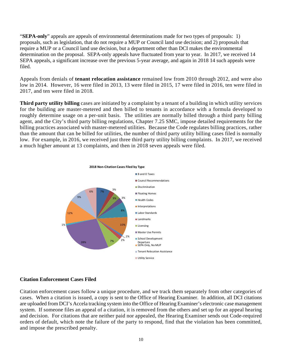"**SEPA-only**" appeals are appeals of environmental determinations made for two types of proposals: 1) proposals, such as legislation, that do not require a MUP or Council land use decision; and 2) proposals that require a MUP or a Council land use decision, but a department other than DCI makes the environmental determination on the proposal. SEPA-only appeals have fluctuated from year to year. In 2017, we received 14 SEPA appeals, a significant increase over the previous 5-year average, and again in 2018 14 such appeals were filed.

Appeals from denials of **tenant relocation assistance** remained low from 2010 through 2012, and were also low in 2014. However, 16 were filed in 2013, 13 were filed in 2015, 17 were filed in 2016, ten were filed in 2017, and ten were filed in 2018.

**Third party utility billing** cases are initiated by a complaint by a tenant of a building in which utility services for the building are master-metered and then billed to tenants in accordance with a formula developed to roughly determine usage on a per-unit basis. The utilities are normally billed through a third party billing agent, and the City's third party billing regulations, Chapter 7.25 SMC, impose detailed requirements for the billing practices associated with master-metered utilities. Because the Code regulates billing practices, rather than the amount that can be billed for utilities, the number of third party utility billing cases filed is normally low. For example, in 2016, we received just three third party utility billing complaints. In 2017, we received a much higher amount at 13 complaints, and then in 2018 seven appeals were filed.



#### **Citation Enforcement Cases Filed**

Citation enforcement cases follow a unique procedure, and we track them separately from other categories of cases. When a citation is issued, a copy is sent to the Office of Hearing Examiner. In addition, all DCI citations are uploaded from DCI's Accela tracking system into the Office of Hearing Examiner's electronic case management system. If someone files an appeal of a citation, it is removed from the others and set up for an appeal hearing and decision. For citations that are neither paid nor appealed, the Hearing Examiner sends out Code-required orders of default, which note the failure of the party to respond, find that the violation has been committed, and impose the prescribed penalty.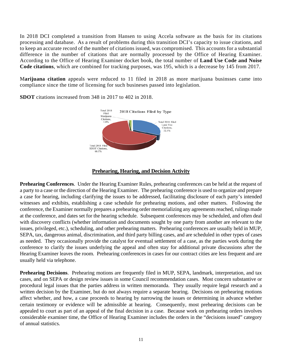In 2018 DCI completed a transition from Hansen to using Accela software as the basis for its citations processing and database. As a result of problems during this transition DCI's capacity to issue citations, and to keep an accurate record of the number of citations issued, was compromised. This accounts for a substantial difference in the number of citations that are normally processed by the Office of Hearing Examiner. According to the Office of Hearing Examiner docket book, the total number of **Land Use Code and Noise Code citations**, which are combined for tracking purposes, was 195, which is a decrease by 145 from 2017.

M**arijuana citation** appeals were reduced to 11 filed in 2018 as more marijuana businsses came into compliance since the time of licensing for such busineses passed into legislation.



**SDOT** citations increased from 348 in 2017 to 402 in 2018.

## **Prehearing, Hearing, and Decision Activity**

**Prehearing Conferences**. Under the Hearing Examiner Rules, prehearing conferences can be held at the request of a party to a case or the direction of the Hearing Examiner. The prehearing conference is used to organize and prepare a case for hearing, including clarifying the issues to be addressed, facilitating disclosure of each party's intended witnesses and exhibits, establishing a case schedule for prehearing motions, and other matters. Following the conference, the Examiner normally prepares a prehearing order memorializing any agreements reached, rulings made at the conference, and dates set for the hearing schedule. Subsequent conferences may be scheduled, and often deal with discovery conflicts (whether information and documents sought by one party from another are relevant to the issues, privileged, etc.), scheduling, and other prehearing matters. Prehearing conferences are usually held in MUP, SEPA, tax, dangerous animal, discrimination, and third party billing cases, and are scheduled in other types of cases as needed. They occasionally provide the catalyst for eventual settlement of a case, as the parties work during the conference to clarify the issues underlying the appeal and often stay for additional private discussions after the Hearing Examiner leaves the room. Prehearing conferences in cases for our contract cities are less frequent and are usually held via telephone.

**Prehearing Decisions**. Prehearing motions are frequently filed in MUP, SEPA, landmark, interpretation, and tax cases, and on SEPA or design review issues in some Council recommendation cases. Most concern substantive or procedural legal issues that the parties address in written memoranda. They usually require legal research and a written decision by the Examiner, but do not always require a separate hearing. Decisions on prehearing motions affect whether, and how, a case proceeds to hearing by narrowing the issues or determining in advance whether certain testimony or evidence will be admissible at hearing. Consequently, most prehearing decisions can be appealed to court as part of an appeal of the final decision in a case. Because work on prehearing orders involves considerable examiner time, the Office of Hearing Examiner includes the orders in the "decisions issued" category of annual statistics.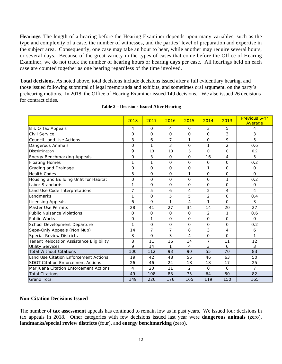**Hearings.** The length of a hearing before the Hearing Examiner depends upon many variables, such as the type and complexity of a case, the number of witnesses, and the parties' level of preparation and expertise in the subject area. Consequently, one case may take an hour to hear, while another may require several hours, or several days. Because of the great variety in the types of cases that come before the Office of Hearing Examiner, we do not track the number of hearing hours or hearing days per case. All hearings held on each case are counted together as one hearing regardless of the time involved.

**Total decisions.** As noted above, total decisions include decisions issued after a full evidentiary hearing, and those issued following submittal of legal memoranda and exhibits, and sometimes oral argument, on the party's prehearing motions. In 2018, the Office of Hearing Examiner issued 149 decisions. We also issued 26 decisions for contract cities.

|                                          | 2018     | 2017         | 2016           | 2015           | 2014           | 2013           | <b>Previous 5-Yr</b><br>Average |
|------------------------------------------|----------|--------------|----------------|----------------|----------------|----------------|---------------------------------|
| B & O Tax Appeals                        | 4        | 0            | 4              | 6              | 3              | 5              | 4                               |
| Civil Service                            | 0        | 0            | $\Omega$       | 0              | $\mathsf{O}$   | 3              | 3                               |
| <b>Council Land Use Actions</b>          | 3        | 6            | $\overline{7}$ | 1              | 0              | 9              | 5                               |
| Dangerous Animals                        | 0        | 1            | 3              | 0              | 1              | $\overline{2}$ | 0.6                             |
| Discrimination                           | 9        | 13           | 13             | 5              | $\Omega$       | 0              | 0.2                             |
| <b>Energy Benchmarking Appeals</b>       | 0        | 3            | $\Omega$       | 0              | 16             | 4              | 5                               |
| <b>Floating Homes</b>                    | 1        | $\mathbf{1}$ | $\Omega$       | $\Omega$       | $\Omega$       | $\Omega$       | 0.2                             |
| Grading and Drainage                     | 0        | O            | 0              | 0              | 1              | $\Omega$       | 0                               |
| <b>Health Codes</b>                      | 5        | 0            | $\Omega$       | 1              | $\Omega$       | $\Omega$       | 0                               |
| Housing and Building Unfit for Habitat   | 0        | 0            | 0              | $\Omega$       | $\Omega$       | 1              | 0.2                             |
| Labor Standards                          | 1        | $\Omega$     | $\Omega$       | $\Omega$       | $\Omega$       | $\Omega$       | $\Omega$                        |
| Land Use Code Interpretations            | 7        | 5            | 6              | 4              | $\overline{2}$ | 4              | 4                               |
| Landmarks                                | 1        | O            | 5              | 5              | $\overline{c}$ | $\mathbf{O}$   | 0.4                             |
| <b>Licensing Appeals</b>                 | 6        | 9            | 1              | 4              | 1              | $\Omega$       | 3                               |
| <b>Master Use Permits</b>                | 28       | 41           | 27             | 34             | 14             | 20             | 27                              |
| <b>Public Nuisance Violations</b>        | $\Omega$ | 0            | $\Omega$       | $\Omega$       | $\overline{2}$ | 1              | 0.6                             |
| <b>Public Works</b>                      | 0        | 1            | 0              | $\mathbf{O}$   | $\mathsf{O}$   | 0              | 0                               |
| School Development Departure             | 1        | $\Omega$     | $\Omega$       | 0              | $\Omega$       | $\Omega$       | 0.2                             |
| Sepa-Only Appeals (Non Mup)              | 14       | 7            | 7              | 8              | 3              | 4              | 6                               |
| <b>Special Review Districts</b>          | 3        | $\Omega$     | 3              | 4              | $\Omega$       | $\Omega$       | 1                               |
| Tenant Relocation Assistance Eligibility | 8        | 11           | 16             | 14             | 7              | 11             | 12                              |
| <b>Utility Services</b>                  | 9        | 14           | 1              | $\overline{4}$ | 3              | 6              | 3                               |
| <b>Total Without Citations</b>           | 100      | 112          | 93             | 90             | 55             | 70             | 83                              |
| Land Use Citation Enforcement Actions    | 19       | 42           | 48             | 55             | 46             | 63             | 50                              |
| <b>SDOT Citation Enforcement Actions</b> | 26       | 46           | 24             | 18             | 18             | 17             | 25                              |
| Marijuana Citation Enforcement Actions   | 4        | 20           | 11             | $\overline{2}$ | $\Omega$       | $\Omega$       | $\overline{7}$                  |
| <b>Total Citations</b>                   | 49       | 108          | 83             | 75             | 64             | 80             | 82                              |
| <b>Grand Total</b>                       | 149      | 220          | 176            | 165            | 119            | 150            | 165                             |

#### **Table 2 – Decisions Issued After Hearing**

## **Non-Citation Decisions Issued**

The number of **tax assessment** appeals has continued to remain low as in past years. We issued four decisions in tax appeals in 2018. Other categories with few decisions issued last year were **dangerous animals** (zero), **landmarks/special review districts** (four), and **energy benchmarking** (zero).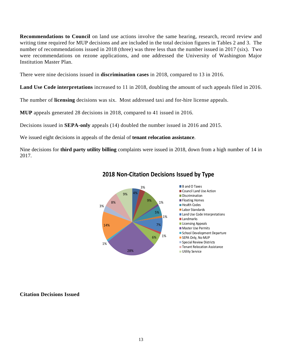**Recommendations to Council** on land use actions involve the same hearing, research, record review and writing time required for MUP decisions and are included in the total decision figures in Tables 2 and 3. The number of recommendations issued in 2018 (three) was three less than the number issued in 2017 (six). Two were recommendations on rezone applications, and one addressed the University of Washington Major Institution Master Plan.

There were nine decisions issued in **discrimination cases** in 2018, compared to 13 in 2016.

**Land Use Code interpretations** increased to 11 in 2018, doubling the amount of such appeals filed in 2016.

The number of **licensing** decisions was six. Most addressed taxi and for-hire license appeals.

**MUP** appeals generated 28 decisions in 2018, compared to 41 issued in 2016.

Decisions issued in **SEPA-only** appeals (14) doubled the number issued in 2016 and 2015.

We issued eight decisions in appeals of the denial of **tenant relocation assistance**.

Nine decisions for **third party utility billing** complaints were issued in 2018, down from a high number of 14 in 2017.



# **2018 Non‐Citation Decisions Issued by Type**

#### **Citation Decisions Issued**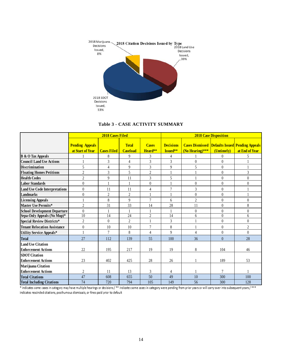

#### **Table 3 - CASE ACTIVITY SUMMARY**

|                                      |                                            | 2018 Cases Filed   |                                 |                         | <b>2018 Case Disposition</b> |                   |                |                                                                          |  |  |
|--------------------------------------|--------------------------------------------|--------------------|---------------------------------|-------------------------|------------------------------|-------------------|----------------|--------------------------------------------------------------------------|--|--|
|                                      | <b>Pending Appeals</b><br>at Start of Year | <b>Cases Filed</b> | <b>Total</b><br><b>Caseload</b> | <b>Cases</b><br>Heard** | <b>Decisions</b><br>Issued** | $(NoHearing)$ *** | (Untimely)     | <b>Cases Dismissed Defaults Issued Pending Appeals</b><br>at End of Year |  |  |
| <b>B</b> & O Tax Appeals             |                                            | 8                  | 9                               | 3                       | $\overline{4}$               |                   | $\theta$       | 5                                                                        |  |  |
| <b>Council Land Use Actions</b>      |                                            | 3                  | $\overline{4}$                  | 3                       | 3                            | $\theta$          | $\mathbf{0}$   |                                                                          |  |  |
| <b>Discrimination</b>                | 5                                          | $\overline{4}$     | 9                               | 3                       | 9                            | 5                 | $\overline{0}$ | $\mathbf{1}$                                                             |  |  |
| <b>Floating Homes Petitions</b>      | $\overline{2}$                             | 3                  | 5                               | $\boldsymbol{2}$        | $\mathbf{1}$                 |                   | $\theta$       | 3                                                                        |  |  |
| <b>Health Codes</b>                  | $\overline{2}$                             | 9                  | 11                              | 3                       | 5                            |                   | $\overline{0}$ | $\mathbf{0}$                                                             |  |  |
| <b>Labor Standards</b>               | $\theta$                                   |                    |                                 | $\overline{0}$          |                              | $\mathbf{0}$      | $\overline{0}$ | $\mathbf{0}$                                                             |  |  |
| <b>Land Use Code Interpretations</b> | $\theta$                                   | 11                 | 11                              | $\overline{4}$          | $\overline{7}$               | 3                 | $\overline{0}$ | $\mathbf{1}$                                                             |  |  |
| <b>Landmarks</b>                     | $\theta$                                   | $\overline{2}$     | $\overline{c}$                  | 1                       |                              | $\mathbf{0}$      | $\overline{0}$ |                                                                          |  |  |
| <b>Licensing Appeals</b>             |                                            | 8                  | 9                               | $\overline{7}$          | 6                            | $\mathfrak{2}$    | $\overline{0}$ | $\mathbf{0}$                                                             |  |  |
| Master Use Permits*                  | $\overline{2}$                             | 31                 | 33                              | 14                      | 28                           | 11                | $\theta$       | $\,8\,$                                                                  |  |  |
| <b>School Development Departure</b>  | $\boldsymbol{0}$                           |                    |                                 | $\mathbf{1}$            |                              | $\mathbf{0}$      | $\overline{0}$ | $\boldsymbol{0}$                                                         |  |  |
| Sepa-Only Appeals (No Mup)*          | 10                                         | $\overline{14}$    | $\overline{24}$                 | $\overline{2}$          | $\overline{14}$              | 6                 | $\theta$       | 6                                                                        |  |  |
| <b>Special Review Districts*</b>     | $\overline{c}$                             | $\theta$           | $\overline{c}$                  | 1                       | 3                            |                   | $\overline{0}$ | $\mathbf{0}$                                                             |  |  |
| <b>Tenant Relocation Assistance</b>  | $\overline{0}$                             | 10                 | 10                              | $\overline{7}$          | 8                            |                   | $\overline{0}$ | $\sqrt{2}$                                                               |  |  |
| Utility Service Appeals*             |                                            | $\overline{7}$     | 8                               | $\overline{4}$          | $\mathbf{Q}$                 | 4                 | $\theta$       | $\theta$                                                                 |  |  |
| <b>Total</b>                         | 27                                         | 112                | 139                             | 55                      | 100                          | 36                | $\overline{0}$ | 28                                                                       |  |  |
| <b>Land Use Citation</b>             |                                            |                    |                                 |                         |                              |                   |                |                                                                          |  |  |
| <b>Enforcement Actions</b>           | 22                                         | 195                | 217                             | 19                      | 19                           | 8                 | 104            | 46                                                                       |  |  |
| <b>SDOT</b> Citation                 |                                            |                    |                                 |                         |                              |                   |                |                                                                          |  |  |
| <b>Enforcement Actions</b>           | 23                                         | 402                | 425                             | 28                      | 26                           |                   | 189            | 53                                                                       |  |  |
| Marijuana Citation                   |                                            |                    |                                 |                         |                              |                   |                |                                                                          |  |  |
| <b>Enforcement Actions</b>           | $\overline{c}$                             | 11                 | 13                              | 3                       | 4                            |                   | 7              |                                                                          |  |  |
| <b>Total Citations</b>               | 47                                         | 608                | 655                             | 50                      | 49                           | 10                | 300            | 100                                                                      |  |  |
| <b>Total Including Citations</b>     | 74                                         | 720                | 794                             | 105                     | 149                          | 56                | 300            | 128                                                                      |  |  |

\* indicates some cases in category may have multiple hearings or decisions / \*\* indicates some cases in category were pending from prior years or will carry-over into subsequent years / \*\*\* indicates rescinded citations, posthumous dismissals, or fines paid prior to default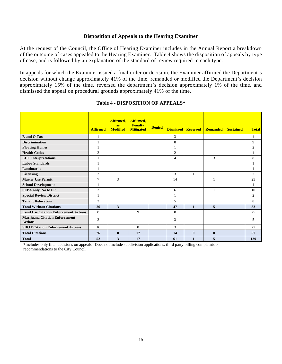#### **Disposition of Appeals to the Hearing Examiner**

At the request of the Council, the Office of Hearing Examiner includes in the Annual Report a breakdown of the outcome of cases appealed to the Hearing Examiner. Table 4 shows the disposition of appeals by type of case, and is followed by an explanation of the standard of review required in each type.

In appeals for which the Examiner issued a final order or decision, the Examiner affirmed the Department's decision without change approximately 41% of the time, remanded or modified the Department's decision approximately 15% of the time, reversed the department's decision approximately 1% of the time, and dismissed the appeal on procedural grounds approximately 41% of the time.

|                                                         | <b>Affirmed</b> | Affirmed,<br>as<br><b>Modified</b> | Affirmed.<br><b>Penalty</b><br><b>Mitigated</b> | <b>Denied</b> | <b>Dismissed Reversed</b> |              | <b>Remanded</b> | <b>Sustained</b> | <b>Total</b>   |
|---------------------------------------------------------|-----------------|------------------------------------|-------------------------------------------------|---------------|---------------------------|--------------|-----------------|------------------|----------------|
| <b>B</b> and O Tax                                      | 1               |                                    |                                                 |               | 3                         |              |                 |                  | $\overline{4}$ |
| <b>Discrimination</b>                                   |                 |                                    |                                                 |               | 8                         |              |                 |                  | 9              |
| <b>Floating Homes</b>                                   |                 |                                    |                                                 |               |                           |              |                 |                  | $\overline{c}$ |
| <b>Health Codes</b>                                     | $\overline{2}$  |                                    |                                                 |               | 2                         |              |                 |                  | $\overline{4}$ |
| <b>LUC</b> Interpretations                              |                 |                                    |                                                 |               | 4                         |              | 3               |                  | 8              |
| <b>Labor Standards</b>                                  | 1               |                                    |                                                 |               |                           |              |                 |                  | $\mathbf{1}$   |
| <b>Landmarks</b>                                        | 1               |                                    |                                                 |               |                           |              |                 |                  | $\mathbf{1}$   |
| Licensing                                               | 3               |                                    |                                                 |               | 3                         | 1            |                 |                  | $\tau$         |
| <b>Master Use Permit</b>                                | $\overline{7}$  | 3                                  |                                                 |               | 14                        |              | $\mathbf{1}$    |                  | 25             |
| <b>School Development</b>                               |                 |                                    |                                                 |               |                           |              |                 |                  | $\mathbf{1}$   |
| <b>SEPA only, No MUP</b>                                | 3               |                                    |                                                 |               | 6                         |              | 1               |                  | 10             |
| <b>Special Review District</b>                          | 1               |                                    |                                                 |               | $\mathbf{1}$              |              |                 |                  | 2              |
| <b>Tenant Relocation</b>                                | 3               |                                    |                                                 |               | 5                         |              |                 |                  | 8              |
| <b>Total Without Citations</b>                          | 26              | 3                                  |                                                 |               | 47                        | $\mathbf{1}$ | 5               |                  | 82             |
| <b>Land Use Citation Enforcement Actions</b>            | 8               |                                    | 9                                               |               | 8                         |              |                 |                  | 25             |
| <b>Marijuana Citation Enforcement</b><br><b>Actions</b> | 2               |                                    |                                                 |               | 3                         |              |                 |                  | 5              |
| <b>SDOT Citation Enforcement Actions</b>                | 16              |                                    | 8                                               |               | 3                         |              |                 |                  | 27             |
| <b>Total Citations</b>                                  | 26              | $\bf{0}$                           | 17                                              |               | 14                        | $\bf{0}$     | $\bf{0}$        |                  | 57             |
| <b>Total</b>                                            | 52              | 3                                  | 17                                              |               | 61                        | $\mathbf{1}$ | 5               |                  | 139            |

#### **Table 4 - DISPOSITION OF APPEALS\***

\*Includes only final decisions on appeals. Does not include subdivision applications, third party billing complaints or recommendations to the City Council.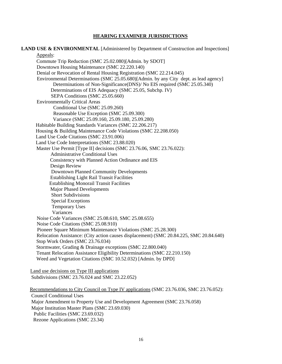#### **HEARING EXAMINER JURISDICTIONS**

**LAND USE & ENVIRONMENTAL** [Administered by Department of Construction and Inspections] Appeals: Commute Trip Reduction (SMC 25.02.080)[Admin. by SDOT] Downtown Housing Maintenance (SMC 22.220.140) Denial or Revocation of Rental Housing Registration (SMC 22.214.045) Environmental Determinations (SMC 25.05.680)[Admin. by any City dept. as lead agency] Determinations of Non-Significance(DNS)/ No EIS required (SMC 25.05.340) Determinations of EIS Adequacy (SMC 25.05, Subchp. IV) SEPA Conditions (SMC 25.05.660) Environmentally Critical Areas Conditional Use (SMC 25.09.260) Reasonable Use Exception (SMC 25.09.300) Variance (SMC 25.09.160, 25.09.180, 25.09.280) Habitable Building Standards Variances (SMC 22.206.217) Housing & Building Maintenance Code Violations (SMC 22.208.050) Land Use Code Citations (SMC 23.91.006) Land Use Code Interpretations (SMC 23.88.020) Master Use Permit [Type II] decisions (SMC 23.76.06, SMC 23.76.022): Administrative Conditional Uses Consistency with Planned Action Ordinance and EIS Design Review Downtown Planned Community Developments Establishing Light Rail Transit Facilities Establishing Monorail Transit Facilities Major Phased Developments Short Subdivisions Special Exceptions Temporary Uses Variances Noise Code Variances (SMC 25.08.610, SMC 25.08.655) Noise Code Citations (SMC 25.08.910) Pioneer Square Minimum Maintenance Violations (SMC 25.28.300) Relocation Assistance: (City action causes displacement) (SMC 20.84.225, SMC 20.84.640) Stop Work Orders (SMC 23.76.034) Stormwater, Grading & Drainage exceptions (SMC 22.800.040) Tenant Relocation Assistance Eligibility Determinations (SMC 22.210.150) Weed and Vegetation Citations (SMC 10.52.032) [Admin. by DPD] Land use decisions on Type III applications Subdivisions (SMC 23.76.024 and SMC 23.22.052) Recommendations to City Council on Type IV applications (SMC 23.76.036, SMC 23.76.052): Council Conditional Uses Major Amendment to Property Use and Development Agreement (SMC 23.76.058) Major Institution Master Plans (SMC 23.69.030)

Public Facilities (SMC 23.69.032)

Rezone Applications (SMC 23.34)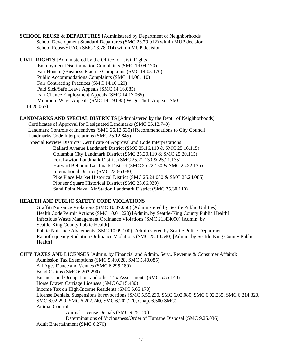**SCHOOL REUSE & DEPARTURES** [Administered by Department of Neighborhoods] School Development Standard Departures (SMC 23.79.012) within MUP decision School Reuse/SUAC (SMC 23.78.014) within MUP decision

**CIVIL RIGHTS** [Administered by the Office for Civil Rights] Employment Discrimination Complaints (SMC 14.04.170) Fair Housing/Business Practice Complaints (SMC 14.08.170) Public Accommodations Complaints (SMC 14.06.110) Fair Contracting Practices (SMC 14.10.120) Paid Sick/Safe Leave Appeals (SMC 14.16.085) Fair Chance Employment Appeals (SMC 14.17.065) Minimum Wage Appeals (SMC 14.19.085) Wage Theft Appeals SMC 14.20.065)

**LANDMARKS AND SPECIAL DISTRICTS** [Administered by the Dept. of Neighborhoods] Certificates of Approval for Designated Landmarks (SMC 25.12.740) Landmark Controls & Incentives (SMC 25.12.530) [Recommendations to City Council] Landmarks Code Interpretations (SMC 25.12.845) Special Review Districts' Certificate of Approval and Code Interpretations Ballard Avenue Landmark District (SMC 25.16.110 & SMC 25.16.115) Columbia City Landmark District (SMC 25.20.110 & SMC 25.20.115) Fort Lawton Landmark District (SMC 25.21.130 & 25.21.135) Harvard Belmont Landmark District (SMC 25.22.130 & SMC 25.22.135) International District (SMC 23.66.030) Pike Place Market Historical District (SMC 25.24.080 & SMC 25.24.085) Pioneer Square Historical District (SMC 23.66.030) Sand Point Naval Air Station Landmark District (SMC 25.30.110)

## **HEALTH AND PUBLIC SAFETY CODE VIOLATIONS**

Graffiti Nuisance Violations (SMC 10.07.050) [Administered by Seattle Public Utilities] Health Code Permit Actions (SMC 10.01.220) [Admin. by Seattle-King County Public Health] Infectious Waste Management Ordinance Violations (SMC 21l43l090) [Admin. by Seattle-King County Public Health] Public Nuisance Abatements (SMC 10.09.100) [Administered by Seattle Police Department] Radiofrequency Radiation Ordinance Violations (SMC 25.10.540) [Admin. by Seattle-King County Public Health]

**CITY TAXES AND LICENSES** [Admin. by Financial and Admin. Serv., Revenue & Consumer Affairs]:

Admission Tax Exemptions (SMC 5.40.028, SMC 5.40.085) All Ages Dance and Venues (SMC 6.295.180) Bond Claims (SMC 6.202.290) Business and Occupation and other Tax Assessments (SMC 5.55.140) Horse Drawn Carriage Licenses (SMC 6.315.430) Income Tax on High-Income Residents (SMC 6.65.170) License Denials, Suspensions & revocations (SMC 5.55.230, SMC 6.02.080, SMC 6.02.285, SMC 6.214.320, SMC 6.02.290, SMC 6.202.240, SMC 6.202.270, Chap. 6.500 SMC) Animal Control: Animal License Denials (SMC 9.25.120)

Determinations of Viciousness/Order of Humane Disposal (SMC 9.25.036)

Adult Entertainment (SMC 6.270)